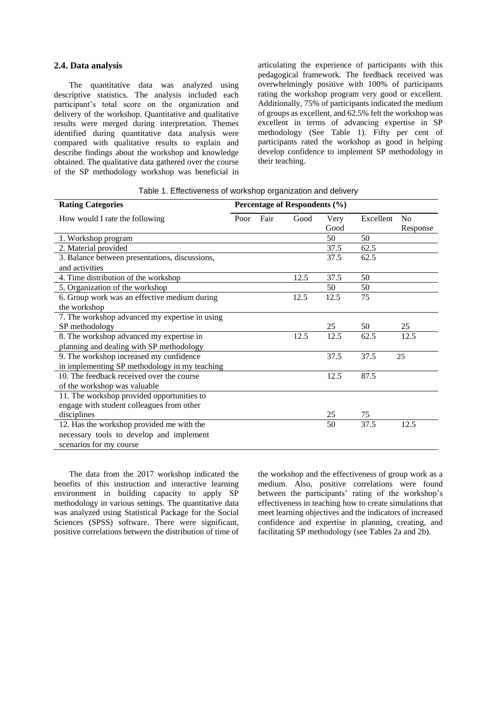#### **2.4. Data analysis**

The quantitative data was analyzed using descriptive statistics. The analysis included each participant's total score on the organization and delivery of the workshop. Quantitative and qualitative results were merged during interpretation. Themes identified during quantitative data analysis were compared with qualitative results to explain and describe findings about the workshop and knowledge obtained. The qualitative data gathered over the course of the SP methodology workshop was beneficial in

articulating the experience of participants with this pedagogical framework. The feedback received was overwhelmingly positive with 100% of participants rating the workshop program very good or excellent. Additionally, 75% of participants indicated the medium of groups as excellent, and 62.5% felt the workshop was excellent in terms of advancing expertise in SP methodology (See Table 1). Fifty per cent of participants rated the workshop as good in helping develop confidence to implement SP methodology in their teaching.

| Table 1. Effectiveness of workshop organization and delivery |  |  |
|--------------------------------------------------------------|--|--|
|                                                              |  |  |

| <b>Rating Categories</b>                       |      | Percentage of Respondents (%) |      |      |           |                |
|------------------------------------------------|------|-------------------------------|------|------|-----------|----------------|
| How would I rate the following                 | Poor | Fair                          | Good | Very | Excellent | N <sub>0</sub> |
|                                                |      |                               |      | Good |           | Response       |
| 1. Workshop program                            |      |                               |      | 50   | 50        |                |
| 2. Material provided                           |      |                               |      | 37.5 | 62.5      |                |
| 3. Balance between presentations, discussions, |      |                               |      | 37.5 | 62.5      |                |
| and activities                                 |      |                               |      |      |           |                |
| 4. Time distribution of the workshop           |      |                               | 12.5 | 37.5 | 50        |                |
| 5. Organization of the workshop                |      |                               |      | 50   | 50        |                |
| 6. Group work was an effective medium during   |      |                               | 12.5 | 12.5 | 75        |                |
| the workshop                                   |      |                               |      |      |           |                |
| 7. The workshop advanced my expertise in using |      |                               |      |      |           |                |
| SP methodology                                 |      |                               |      | 25   | 50        | 25             |
| 8. The workshop advanced my expertise in       |      |                               | 12.5 | 12.5 | 62.5      | 12.5           |
| planning and dealing with SP methodology       |      |                               |      |      |           |                |
| 9. The workshop increased my confidence        |      |                               |      | 37.5 | 37.5      | 25             |
| in implementing SP methodology in my teaching  |      |                               |      |      |           |                |
| 10. The feedback received over the course      |      |                               |      | 12.5 | 87.5      |                |
| of the workshop was valuable                   |      |                               |      |      |           |                |
| 11. The workshop provided opportunities to     |      |                               |      |      |           |                |
| engage with student colleagues from other      |      |                               |      |      |           |                |
| disciplines                                    |      |                               |      | 25   | 75        |                |
| 12. Has the workshop provided me with the      |      |                               |      | 50   | 37.5      | 12.5           |
| necessary tools to develop and implement       |      |                               |      |      |           |                |
| scenarios for my course                        |      |                               |      |      |           |                |

The data from the 2017 workshop indicated the benefits of this instruction and interactive learning environment in building capacity to apply SP methodology in various settings. The quantitative data was analyzed using Statistical Package for the Social Sciences (SPSS) software. There were significant, positive correlations between the distribution of time of the workshop and the effectiveness of group work as a medium. Also, positive correlations were found between the participants' rating of the workshop's effectiveness in teaching how to create simulations that meet learning objectives and the indicators of increased confidence and expertise in planning, creating, and facilitating SP methodology (see Tables 2a and 2b).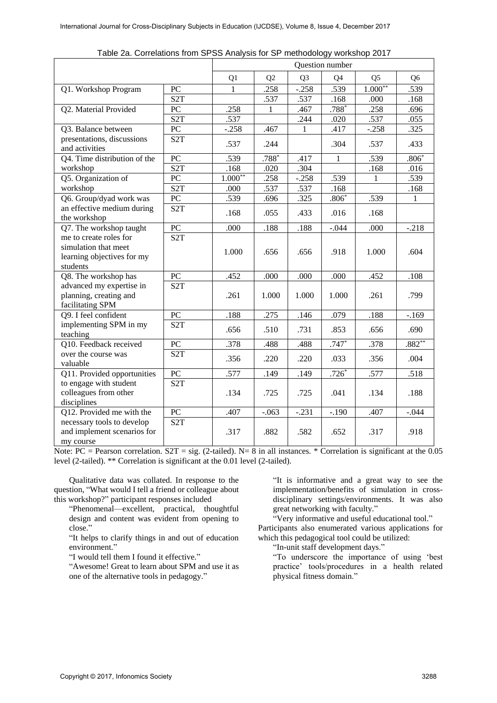|                                                                                          |                         | Question number |         |                |                |                |                |  |
|------------------------------------------------------------------------------------------|-------------------------|-----------------|---------|----------------|----------------|----------------|----------------|--|
|                                                                                          |                         | Q1              | Q2      | Q <sub>3</sub> | Q <sub>4</sub> | Q <sub>5</sub> | Q <sub>6</sub> |  |
| Q1. Workshop Program                                                                     | PC                      | 1               | .258    | $-.258$        | .539           | $1.000**$      | .539           |  |
|                                                                                          | S <sub>2</sub> T        |                 | .537    | .537           | .168           | .000           | .168           |  |
| Q2. Material Provided                                                                    | PC                      | .258            | 1       | .467           | $.788*$        | .258           | .696           |  |
|                                                                                          | S <sub>2</sub> T        | .537            |         | .244           | .020           | .537           | .055           |  |
| Q3. Balance between                                                                      | PC                      | $-.258$         | .467    | 1              | .417           | $-.258$        | .325           |  |
| presentations, discussions<br>and activities                                             | S <sub>2</sub> T        | .537            | .244    |                | .304           | .537           | .433           |  |
| Q4. Time distribution of the                                                             | PC                      | .539            | $.788*$ | .417           | $\mathbf{1}$   | .539           | $.806*$        |  |
| workshop                                                                                 | $\overline{\text{S2T}}$ | .168            | .020    | .304           |                | .168           | .016           |  |
| Q5. Organization of                                                                      | PC                      | $1.000**$       | .258    | $-.258$        | .539           | $\mathbf{1}$   | .539           |  |
| workshop                                                                                 | S <sub>2</sub> T        | .000            | .537    | .537           | .168           |                | .168           |  |
| Q6. Group/dyad work was                                                                  | PC                      | .539            | .696    | .325           | $.806*$        | .539           | 1              |  |
| an effective medium during<br>the workshop                                               | S <sub>2</sub> T        | .168            | .055    | .433           | .016           | .168           |                |  |
| Q7. The workshop taught                                                                  | PC                      | .000            | .188    | .188           | $-.044$        | .000           | $-.218$        |  |
| me to create roles for<br>simulation that meet<br>learning objectives for my<br>students | S <sub>2</sub> T        | 1.000           | .656    | .656           | .918           | 1.000          | .604           |  |
| Q8. The workshop has                                                                     | PC                      | .452            | .000    | .000           | .000           | .452           | .108           |  |
| advanced my expertise in<br>planning, creating and<br>facilitating SPM                   | S <sub>2</sub> T        | .261            | 1.000   | 1.000          | 1.000          | .261           | .799           |  |
| Q9. I feel confident                                                                     | PC                      | .188            | .275    | .146           | .079           | .188           | $-.169$        |  |
| implementing SPM in my<br>teaching                                                       | S <sub>2</sub> T        | .656            | .510    | .731           | .853           | .656           | .690           |  |
| Q10. Feedback received                                                                   | PC                      | .378            | .488    | .488           | $.747*$        | .378           | $.882**$       |  |
| over the course was<br>valuable                                                          | S <sub>2</sub> T        | .356            | .220    | .220           | .033           | .356           | .004           |  |
| Q11. Provided opportunities                                                              | $\overline{PC}$         | .577            | .149    | .149           | $.726*$        | .577           | .518           |  |
| to engage with student<br>colleagues from other<br>disciplines                           | S <sub>2</sub> T        | .134            | .725    | .725           | .041           | .134           | .188           |  |
| Q12. Provided me with the                                                                | PC                      | .407            | $-.063$ | $-.231$        | $-.190$        | .407           | $-.044$        |  |
| necessary tools to develop<br>and implement scenarios for<br>my course                   | S <sub>2</sub> T        | .317            | .882    | .582           | .652           | .317           | .918           |  |

Table 2a. Correlations from SPSS Analysis for SP methodology workshop 2017

Note: PC = Pearson correlation.  $S2T = sig.$  (2-tailed). N= 8 in all instances. \* Correlation is significant at the 0.05 level (2-tailed). \*\* Correlation is significant at the 0.01 level (2-tailed).

Qualitative data was collated. In response to the question, "What would I tell a friend or colleague about this workshop?" participant responses included

"Phenomenal—excellent, practical, thoughtful design and content was evident from opening to close."

"It helps to clarify things in and out of education environment."

"I would tell them I found it effective."

"Awesome! Great to learn about SPM and use it as one of the alternative tools in pedagogy."

"It is informative and a great way to see the implementation/benefits of simulation in crossdisciplinary settings/environments. It was also great networking with faculty."

"Very informative and useful educational tool." Participants also enumerated various applications for which this pedagogical tool could be utilized:

"In-unit staff development days."

"To underscore the importance of using 'best practice' tools/procedures in a health related physical fitness domain."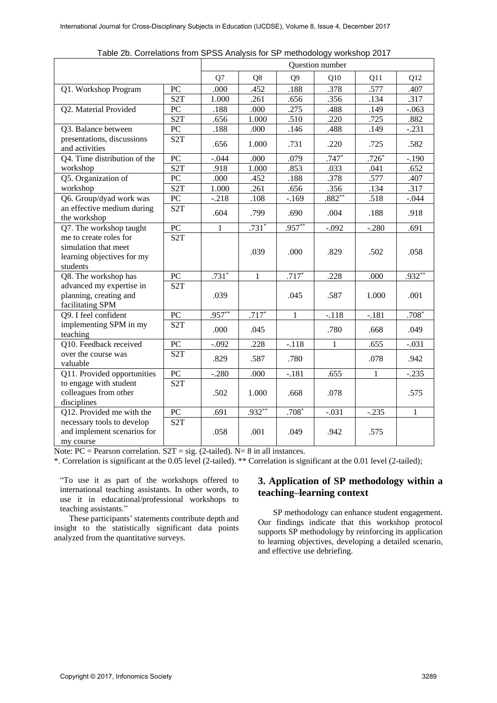|                                                                                          |                         | Question number |              |                |          |              |              |  |
|------------------------------------------------------------------------------------------|-------------------------|-----------------|--------------|----------------|----------|--------------|--------------|--|
|                                                                                          |                         | Q7              | Q8           | Q <sub>9</sub> | Q10      | Q11          | Q12          |  |
| Q1. Workshop Program                                                                     | PC                      | .000            | .452         | .188           | .378     | .577         | .407         |  |
|                                                                                          | S <sub>2</sub> T        | 1.000           | .261         | .656           | .356     | .134         | .317         |  |
| Q2. Material Provided                                                                    | PC                      | .188            | .000         | .275           | .488     | .149         | $-.063$      |  |
|                                                                                          | S <sub>2</sub> T        | .656            | 1.000        | .510           | .220     | .725         | .882         |  |
| Q3. Balance between                                                                      | $\overline{PC}$         | .188            | .000         | .146           | .488     | .149         | $-.231$      |  |
| presentations, discussions<br>and activities                                             | S <sub>2</sub> T        | .656            | 1.000        | .731           | .220     | .725         | .582         |  |
| Q4. Time distribution of the                                                             | PC                      | $-.044$         | .000         | .079           | $.747*$  | $.726*$      | $-.190$      |  |
| workshop                                                                                 | S <sub>2</sub> T        | .918            | 1.000        | .853           | .033     | .041         | .652         |  |
| Q5. Organization of                                                                      | ${\rm P}{\bf C}$        | .000            | .452         | .188           | .378     | .577         | .407         |  |
| workshop                                                                                 | $\overline{\text{S2T}}$ | 1.000           | .261         | .656           | .356     | .134         | .317         |  |
| Q6. Group/dyad work was                                                                  | ${\rm P}{\bf C}$        | $-.218$         | .108         | $-169$         | $.882**$ | .518         | $-.044$      |  |
| an effective medium during<br>the workshop                                               | S <sub>2</sub> T        | .604            | .799         | .690           | .004     | .188         | .918         |  |
| Q7. The workshop taught                                                                  | PC                      | $\mathbf{1}$    | $.731*$      | $.957***$      | $-.092$  | $-.280$      | .691         |  |
| me to create roles for<br>simulation that meet<br>learning objectives for my<br>students | S <sub>2</sub> T        |                 | .039         | .000           | .829     | .502         | .058         |  |
| Q8. The workshop has                                                                     | ${\rm P}{\bf C}$        | $.731*$         | $\mathbf{1}$ | $.717*$        | .228     | .000         | $.932**$     |  |
| advanced my expertise in<br>planning, creating and<br>facilitating SPM                   | S <sub>2</sub> T        | .039            |              | .045           | .587     | 1.000        | .001         |  |
| Q9. I feel confident                                                                     | ${\rm P}{\bf C}$        | $.957***$       | $.717*$      | $\mathbf{1}$   | $-.118$  | $-.181$      | $.708*$      |  |
| implementing SPM in my<br>teaching                                                       | S <sub>2</sub> T        | .000            | .045         |                | .780     | .668         | .049         |  |
| Q10. Feedback received                                                                   | ${\rm P}{\bf C}$        | $-.092$         | .228         | $-.118$        | 1        | .655         | $-.031$      |  |
| over the course was<br>valuable                                                          | S <sub>2</sub> T        | .829            | .587         | .780           |          | .078         | .942         |  |
| Q11. Provided opportunities                                                              | $\overline{PC}$         | $-.280$         | .000         | $-181$         | .655     | $\mathbf{1}$ | $-.235$      |  |
| to engage with student<br>colleagues from other<br>disciplines                           | S <sub>2</sub> T        | .502            | 1.000        | .668           | .078     |              | .575         |  |
| Q12. Provided me with the                                                                | PC                      | .691            | $.932**$     | $.708*$        | $-.031$  | $-.235$      | $\mathbf{1}$ |  |
| necessary tools to develop<br>and implement scenarios for<br>my course                   | S <sub>2</sub> T        | .058            | .001         | .049           | .942     | .575         |              |  |

Table 2b. Correlations from SPSS Analysis for SP methodology workshop 2017

Note:  $PC = Pearson correlation$ .  $S2T = sig$ . (2-tailed). N= 8 in all instances.

\*. Correlation is significant at the 0.05 level (2-tailed). \*\* Correlation is significant at the 0.01 level (2-tailed);

"To use it as part of the workshops offered to international teaching assistants. In other words, to use it in educational/professional workshops to teaching assistants."

These participants' statements contribute depth and insight to the statistically significant data points analyzed from the quantitative surveys.

# **3. Application of SP methodology within a teaching–learning context**

SP methodology can enhance student engagement. Our findings indicate that this workshop protocol supports SP methodology by reinforcing its application to learning objectives, developing a detailed scenario, and effective use debriefing.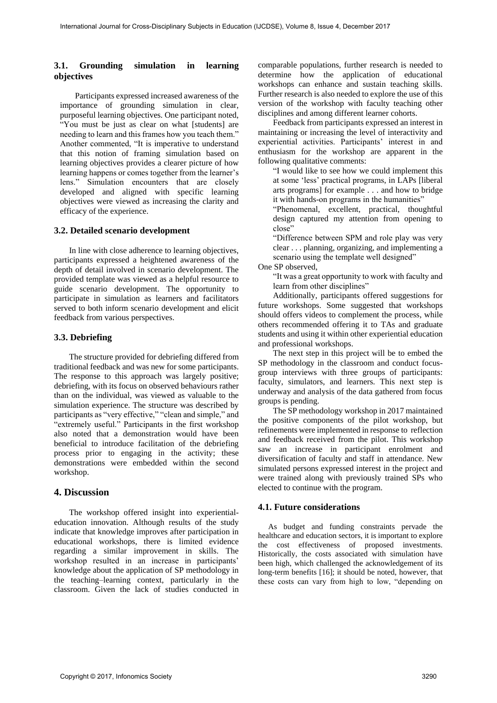### **3.1. Grounding simulation in learning objectives**

Participants expressed increased awareness of the importance of grounding simulation in clear, purposeful learning objectives. One participant noted, "You must be just as clear on what [students] are needing to learn and this frames how you teach them." Another commented, "It is imperative to understand that this notion of framing simulation based on learning objectives provides a clearer picture of how learning happens or comes together from the learner's lens." Simulation encounters that are closely developed and aligned with specific learning objectives were viewed as increasing the clarity and efficacy of the experience.

#### **3.2. Detailed scenario development**

In line with close adherence to learning objectives, participants expressed a heightened awareness of the depth of detail involved in scenario development. The provided template was viewed as a helpful resource to guide scenario development. The opportunity to participate in simulation as learners and facilitators served to both inform scenario development and elicit feedback from various perspectives.

#### **3.3. Debriefing**

The structure provided for debriefing differed from traditional feedback and was new for some participants. The response to this approach was largely positive; debriefing, with its focus on observed behaviours rather than on the individual, was viewed as valuable to the simulation experience. The structure was described by participants as "very effective," "clean and simple," and "extremely useful." Participants in the first workshop also noted that a demonstration would have been beneficial to introduce facilitation of the debriefing process prior to engaging in the activity; these demonstrations were embedded within the second workshop.

### **4. Discussion**

The workshop offered insight into experientialeducation innovation. Although results of the study indicate that knowledge improves after participation in educational workshops, there is limited evidence regarding a similar improvement in skills. The workshop resulted in an increase in participants' knowledge about the application of SP methodology in the teaching–learning context, particularly in the classroom. Given the lack of studies conducted in comparable populations, further research is needed to determine how the application of educational workshops can enhance and sustain teaching skills. Further research is also needed to explore the use of this version of the workshop with faculty teaching other disciplines and among different learner cohorts.

Feedback from participants expressed an interest in maintaining or increasing the level of interactivity and experiential activities. Participants' interest in and enthusiasm for the workshop are apparent in the following qualitative comments:

"I would like to see how we could implement this at some 'less' practical programs, in LAPs [liberal arts programs] for example . . . and how to bridge it with hands-on programs in the humanities"

"Phenomenal, excellent, practical, thoughtful design captured my attention from opening to close"

"Difference between SPM and role play was very clear . . . planning, organizing, and implementing a scenario using the template well designed"

#### One SP observed,

"It was a great opportunity to work with faculty and learn from other disciplines"

Additionally, participants offered suggestions for future workshops. Some suggested that workshops should offers videos to complement the process, while others recommended offering it to TAs and graduate students and using it within other experiential education and professional workshops.

The next step in this project will be to embed the SP methodology in the classroom and conduct focusgroup interviews with three groups of participants: faculty, simulators, and learners. This next step is underway and analysis of the data gathered from focus groups is pending.

The SP methodology workshop in 2017 maintained the positive components of the pilot workshop, but refinements were implemented in response to reflection and feedback received from the pilot. This workshop saw an increase in participant enrolment and diversification of faculty and staff in attendance. New simulated persons expressed interest in the project and were trained along with previously trained SPs who elected to continue with the program.

#### **4.1. Future considerations**

As budget and funding constraints pervade the healthcare and education sectors, it is important to explore the cost effectiveness of proposed investments. Historically, the costs associated with simulation have been high, which challenged the acknowledgement of its long-term benefits [16]; it should be noted, however, that these costs can vary from high to low, "depending on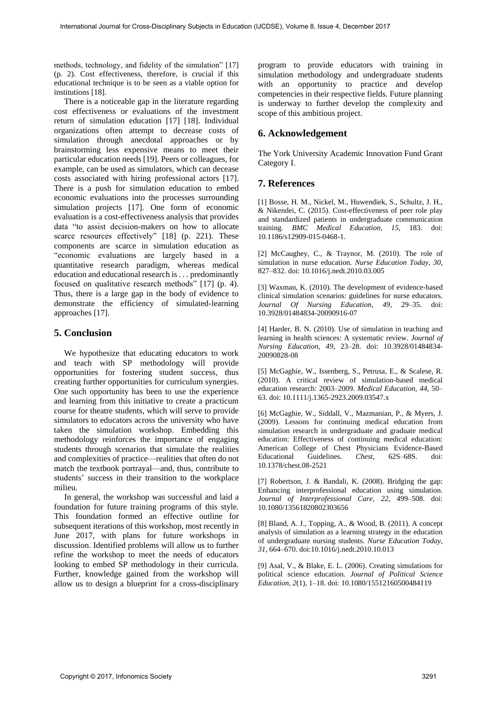methods, technology, and fidelity of the simulation" [17] (p. 2). Cost effectiveness, therefore, is crucial if this educational technique is to be seen as a viable option for institutions [18].

There is a noticeable gap in the literature regarding cost effectiveness or evaluations of the investment return of simulation education [17] [18]. Individual organizations often attempt to decrease costs of simulation through anecdotal approaches or by brainstorming less expensive means to meet their particular education needs [19]. Peers or colleagues, for example, can be used as simulators, which can decease costs associated with hiring professional actors [17]. There is a push for simulation education to embed economic evaluations into the processes surrounding simulation projects [17]. One form of economic evaluation is a cost-effectiveness analysis that provides data "to assist decision-makers on how to allocate scarce resources effectively" [18] (p. 221). These components are scarce in simulation education as "economic evaluations are largely based in a quantitative research paradigm, whereas medical education and educational research is . . . predominantly focused on qualitative research methods" [17] (p. 4). Thus, there is a large gap in the body of evidence to demonstrate the efficiency of simulated-learning approaches [17].

## **5. Conclusion**

We hypothesize that educating educators to work and teach with SP methodology will provide opportunities for fostering student success, thus creating further opportunities for curriculum synergies. One such opportunity has been to use the experience and learning from this initiative to create a practicum course for theatre students, which will serve to provide simulators to educators across the university who have taken the simulation workshop. Embedding this methodology reinforces the importance of engaging students through scenarios that simulate the realities and complexities of practice—realities that often do not match the textbook portrayal—and, thus, contribute to students' success in their transition to the workplace milieu.

In general, the workshop was successful and laid a foundation for future training programs of this style. This foundation formed an effective outline for subsequent iterations of this workshop, most recently in June 2017, with plans for future workshops in discussion. Identified problems will allow us to further refine the workshop to meet the needs of educators looking to embed SP methodology in their curricula. Further, knowledge gained from the workshop will allow us to design a blueprint for a cross-disciplinary

program to provide educators with training in simulation methodology and undergraduate students with an opportunity to practice and develop competencies in their respective fields. Future planning is underway to further develop the complexity and scope of this ambitious project.

## **6. Acknowledgement**

The York University Academic Innovation Fund Grant Category I.

# **7. References**

[1] Bosse, H. M., Nickel, M., Huwendiek, S., Schultz, J. H., & Nikendei, C. (2015). Cost-effectiveness of peer role play and standardized patients in undergraduate communication training. *BMC Medical Education, 15*, 183. doi: 10.1186/s12909-015-0468-1.

[2] McCaughey, C., & Traynor, M. (2010). The role of simulation in nurse education. *Nurse Education Today*, *30*, 827–832. doi: 10.1016/j.nedt.2010.03.005

[3] Waxman, K. (2010). The development of evidence-based clinical simulation scenarios: guidelines for nurse educators. *Journal Of Nursing Education*, *49*, 29–35. doi: 10.3928/01484834-20090916-07

[4] Harder, B. N. (2010). Use of simulation in teaching and learning in health sciences: A systematic review. *Journal of Nursing Education, 49*, 23–28. doi: 10.3928/01484834- 20090828-08

[5] McGaghie, W., Issenberg, S., Petrusa, E., & Scalese, R. (2010). A critical review of simulation-based medical education research: 2003–2009. *Medical Education*, *44*, 50– 63. doi: 10.1111/j.1365-2923.2009.03547.x

[6] McGaghie, W., Siddall, V., Mazmanian, P., & Myers, J. (2009). Lessons for continuing medical education from simulation research in undergraduate and graduate medical education: Effectiveness of continuing medical education: American College of Chest Physicians Evidence-Based Educational Guidelines. *Chest*, 62S–68S. doi: 10.1378/chest.08-2521

[7] Robertson, J. & Bandali, K. (2008). Bridging the gap: Enhancing interprofessional education using simulation. *Journal of Interprofessional Care, 22*, 499–508. doi: 10.1080/13561820802303656

[8] Bland, A. J., Topping, A., & Wood, B. (2011). A concept analysis of simulation as a learning strategy in the education of undergraduate nursing students. *Nurse Education Today*, *31*, 664–670. doi:10.1016/j.nedt.2010.10.013

[9] Asal, V., & Blake, E. L. (2006). Creating simulations for political science education. *Journal of Political Science Education, 2*(1), 1–18. doi: 10.1080/15512160500484119